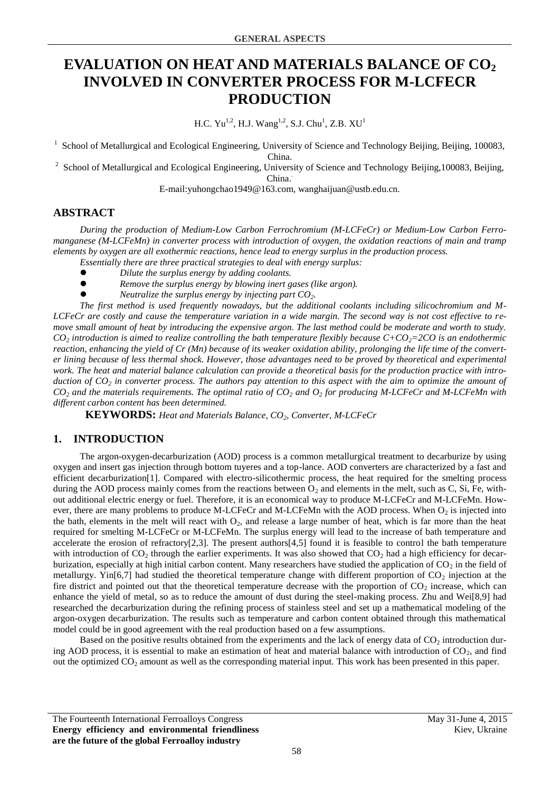# **EVALUATION ON HEAT AND MATERIALS BALANCE OF CO<sup>2</sup> INVOLVED IN CONVERTER PROCESS FOR M-LCFECR PRODUCTION**

H.C.  $Yu^{1,2}$ , H.J.  $Wang^{1,2}$ , S.J. Chu<sup>1</sup>, Z.B.  $XU<sup>1</sup>$ 

<sup>1</sup> School of Metallurgical and Ecological Engineering, University of Science and Technology Beijing, Beijing, 100083,

China.

 $2^2$  School of Metallurgical and Ecological Engineering, University of Science and Technology Beijing, 100083, Beijing,

China.*.*

E-mail:yuhongchao1949@163.com, wanghaijuan@ustb.edu.cn.

# **ABSTRACT**

*During the production of Medium-Low Carbon Ferrochromium (M-LCFeCr) or Medium-Low Carbon Ferromanganese (M-LCFeMn) in converter process with introduction of oxygen, the oxidation reactions of main and tramp elements by oxygen are all exothermic reactions, hence lead to energy surplus in the production process.*

- *Essentially there are three practical strategies to deal with energy surplus:*
- *Dilute the surplus energy by adding coolants.*
- *Remove the surplus energy by blowing inert gases (like argon).*
- *Neutralize the surplus energy by injecting part CO2.*

*The first method is used frequently nowadays, but the additional coolants including silicochromium and M-LCFeCr are costly and cause the temperature variation in a wide margin. The second way is not cost effective to remove small amount of heat by introducing the expensive argon. The last method could be moderate and worth to study.*   $CO<sub>2</sub>$  *introduction is aimed to realize controlling the bath temperature flexibly because*  $C+CO<sub>2</sub>=2CO$  *is an endothermic reaction, enhancing the yield of Cr (Mn) because of its weaker oxidation ability, prolonging the life time of the converter lining because of less thermal shock. However, those advantages need to be proved by theoretical and experimental work. The heat and material balance calculation can provide a theoretical basis for the production practice with introduction of CO<sup>2</sup> in converter process. The authors pay attention to this aspect with the aim to optimize the amount of CO<sup>2</sup> and the materials requirements. The optimal ratio of CO<sup>2</sup> and O<sup>2</sup> for producing M-LCFeCr and M-LCFeMn with different carbon content has been determined.*

**KEYWORDS:** *Heat and Materials Balance, CO2, Converter, M-LCFeCr*

# **1. INTRODUCTION**

The argon-oxygen-decarburization (AOD) process is a common metallurgical treatment to decarburize by using oxygen and insert gas injection through bottom tuyeres and a top-lance. AOD converters are characterized by a fast and efficient decarburization[1]. Compared with electro-silicothermic process, the heat required for the smelting process during the AOD process mainly comes from the reactions between  $\overline{O}$  and elements in the melt, such as C, Si, Fe, without additional electric energy or fuel. Therefore, it is an economical way to produce M-LCFeCr and M-LCFeMn. However, there are many problems to produce M-LCFeCr and M-LCFeMn with the AOD process. When  $O_2$  is injected into the bath, elements in the melt will react with  $O_2$ , and release a large number of heat, which is far more than the heat required for smelting M-LCFeCr or M-LCFeMn. The surplus energy will lead to the increase of bath temperature and accelerate the erosion of refractory[2,3]. The present authors[4,5] found it is feasible to control the bath temperature with introduction of  $CO<sub>2</sub>$  through the earlier experiments. It was also showed that  $CO<sub>2</sub>$  had a high efficiency for decarburization, especially at high initial carbon content. Many researchers have studied the application of  $CO<sub>2</sub>$  in the field of metallurgy. Yin[6,7] had studied the theoretical temperature change with different proportion of  $CO_2$  injection at the fire district and pointed out that the theoretical temperature decrease with the proportion of  $CO<sub>2</sub>$  increase, which can enhance the yield of metal, so as to reduce the amount of dust during the steel-making process. Zhu and Wei[8,9] had researched the decarburization during the refining process of stainless steel and set up a mathematical modeling of the argon-oxygen decarburization. The results such as temperature and carbon content obtained through this mathematical model could be in good agreement with the real production based on a few assumptions.

Based on the positive results obtained from the experiments and the lack of energy data of  $CO<sub>2</sub>$  introduction during AOD process, it is essential to make an estimation of heat and material balance with introduction of  $CO<sub>2</sub>$ , and find out the optimized  $CO<sub>2</sub>$  amount as well as the corresponding material input. This work has been presented in this paper.

The Fourteenth International Ferroalloys Congress May 31-June 4, 2015 **Energy efficiency and environmental friendliness are the future of the global Ferroalloy industry**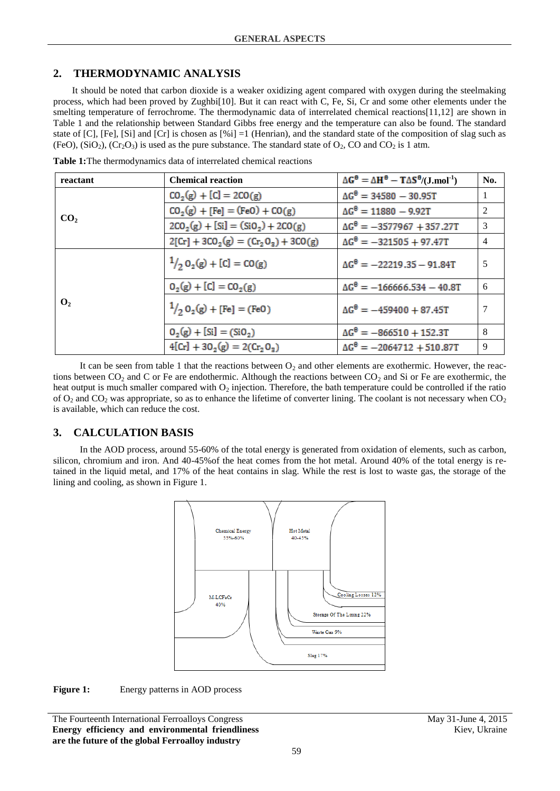### **2. THERMODYNAMIC ANALYSIS**

It should be noted that carbon dioxide is a weaker oxidizing agent compared with oxygen during the steelmaking process, which had been proved by Zughbi[10]. But it can react with C, Fe, Si, Cr and some other elements under the smelting temperature of ferrochrome. The thermodynamic data of interrelated chemical reactions[11,12] are shown in Table 1 and the relationship between Standard Gibbs free energy and the temperature can also be found. The standard state of [C], [Fe], [Si] and [Cr] is chosen as  $[\%i] = 1$  (Henrian), and the standard state of the composition of slag such as (FeO),  $(SiO<sub>2</sub>), (Cr<sub>2</sub>O<sub>3</sub>)$  is used as the pure substance. The standard state of  $O<sub>2</sub>$ , CO and CO<sub>2</sub> is 1 atm.

| reactant        | <b>Chemical reaction</b>                        | $\Delta G^{\theta} = \Delta H^{\theta} - T \Delta S^{\theta} / (J \text{.} \text{mol}^1)$ | No. |
|-----------------|-------------------------------------------------|-------------------------------------------------------------------------------------------|-----|
| CO <sub>2</sub> | $CO_2(g) + [C] = 2CO(g)$                        | $\Delta G^{\theta} = 34580 - 30.95T$                                                      |     |
|                 | $CO_2(g) + [Fe] = (FeO) + CO(g)$                | $\Delta G^{\theta} = 11880 - 9.92T$                                                       | 2   |
|                 | $2CO_2(g) + [Si] = (SiO_2) + 2CO(g)$            | $\Delta G^{\theta} = -3577967 + 357.27T$                                                  | 3   |
|                 | $2[Cr] + 3CO_2(g) = (Cr_2O_3) + 3CO(g)$         | $\Delta G^{\theta} = -321505 + 97.47T$                                                    | 4   |
|                 | $\frac{1}{2}$ O <sub>2</sub> (g) + [C] = CO(g)  | $\Delta G^{\theta} = -22219.35 - 91.84T$                                                  | 5   |
|                 | $O_2(g) + [C] = CO_2(g)$                        | $\Delta G^{\theta} = -166666.534 - 40.8T$                                                 | 6   |
| $\mathbf{O}_2$  | $\frac{1}{2}$ O <sub>2</sub> (g) + [Fe] = (FeO) | $\Delta G^{\theta} = -459400 + 87.45T$                                                    |     |
|                 | $O_2(g) + [Si] = (SiO_2)$                       | $\Delta G^{\theta} = -866510 + 152.3T$                                                    | 8   |
|                 | $4[Cr] + 302(g) = 2(Cr203)$                     | $\Delta G^{\theta} = -2064712 + 510.87T$                                                  | 9   |

**Table 1:**The thermodynamics data of interrelated chemical reactions

It can be seen from table 1 that the reactions between  $O_2$  and other elements are exothermic. However, the reactions between  $CO_2$  and C or Fe are endothermic. Although the reactions between  $CO_2$  and Si or Fe are exothermic, the heat output is much smaller compared with  $O<sub>2</sub>$  injection. Therefore, the bath temperature could be controlled if the ratio of  $O_2$  and  $CO_2$  was appropriate, so as to enhance the lifetime of converter lining. The coolant is not necessary when  $CO_2$ is available, which can reduce the cost.

#### **3. CALCULATION BASIS**

In the AOD process, around 55-60% of the total energy is generated from oxidation of elements, such as carbon, silicon, chromium and iron. And 40-45%of the heat comes from the hot metal. Around 40% of the total energy is retained in the liquid metal, and 17% of the heat contains in slag. While the rest is lost to waste gas, the storage of the lining and cooling, as shown in Figure 1.





The Fourteenth International Ferroalloys Congress May 31-June 4, 2015 **Energy efficiency and environmental friendliness are the future of the global Ferroalloy industry**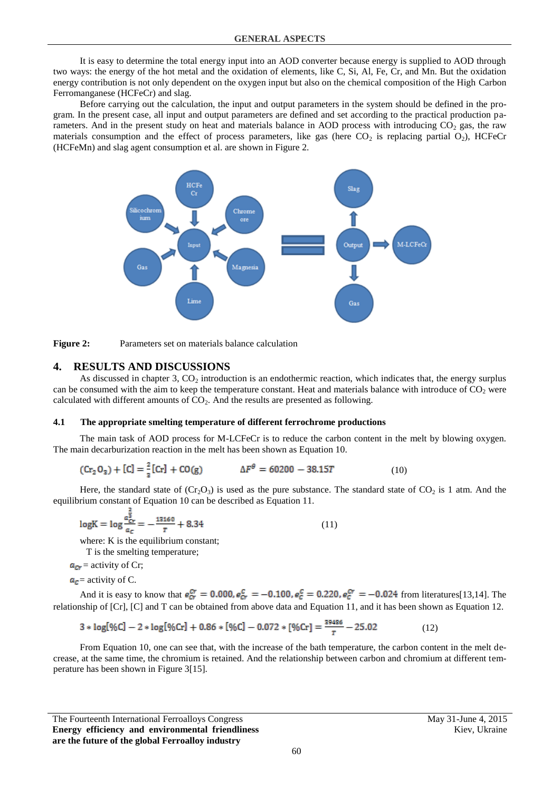It is easy to determine the total energy input into an AOD converter because energy is supplied to AOD through two ways: the energy of the hot metal and the oxidation of elements, like C, Si, Al, Fe, Cr, and Mn. But the oxidation energy contribution is not only dependent on the oxygen input but also on the chemical composition of the High Carbon Ferromanganese (HCFeCr) and slag.

Before carrying out the calculation, the input and output parameters in the system should be defined in the program. In the present case, all input and output parameters are defined and set according to the practical production parameters. And in the present study on heat and materials balance in AOD process with introducing  $CO<sub>2</sub>$  gas, the raw materials consumption and the effect of process parameters, like gas (here  $CO<sub>2</sub>$  is replacing partial  $O<sub>2</sub>$ ), HCFeCr (HCFeMn) and slag agent consumption et al. are shown in Figure 2.





#### **4. RESULTS AND DISCUSSIONS**

As discussed in chapter 3,  $CO<sub>2</sub>$  introduction is an endothermic reaction, which indicates that, the energy surplus can be consumed with the aim to keep the temperature constant. Heat and materials balance with introduce of  $CO<sub>2</sub>$  were calculated with different amounts of  $CO<sub>2</sub>$ . And the results are presented as following.

#### **4.1 The appropriate smelting temperature of different ferrochrome productions**

The main task of AOD process for M-LCFeCr is to reduce the carbon content in the melt by blowing oxygen. The main decarburization reaction in the melt has been shown as Equation 10.

$$
(\text{Cr}_2 \, \text{O}_3) + [\text{C}] = \frac{2}{3} [\text{Cr}] + \text{CO}(\text{g}) \qquad \Delta F^{\theta} = 60200 - 38.15T \tag{10}
$$

Here, the standard state of  $(Cr_2O_3)$  is used as the pure substance. The standard state of CO<sub>2</sub> is 1 atm. And the equilibrium constant of Equation 10 can be described as Equation 11.

$$
log K = log \frac{a_{cr}^{\frac{2}{3}}}{a_{cr}} = -\frac{13160}{T} + 8.34
$$
 (11)

where: K is the equilibrium constant:

```
T is the smelting temperature;
```

$$
a_{cr}
$$
 = activity of Cr;

 $a<sub>c</sub>$  = activity of C.

And it is easy to know that  $e_{cr}^{cr} = 0.000$ ,  $e_{cr}^c = -0.100$ ,  $e_{\overline{c}}^c = 0.220$ ,  $e_{\overline{c}}^{cr} = -0.024$  from literatures[13,14]. The relationship of [Cr], [C] and T can be obtained from above data and Equation 11, and it has been shown as Equation 12.

$$
3 * log[%C] - 2 * log[%Cr] + 0.86 * [%C] - 0.072 * [%Cr] = \frac{39486}{T} - 25.02
$$
 (12)

From Equation 10, one can see that, with the increase of the bath temperature, the carbon content in the melt decrease, at the same time, the chromium is retained. And the relationship between carbon and chromium at different temperature has been shown in Figure 3[15].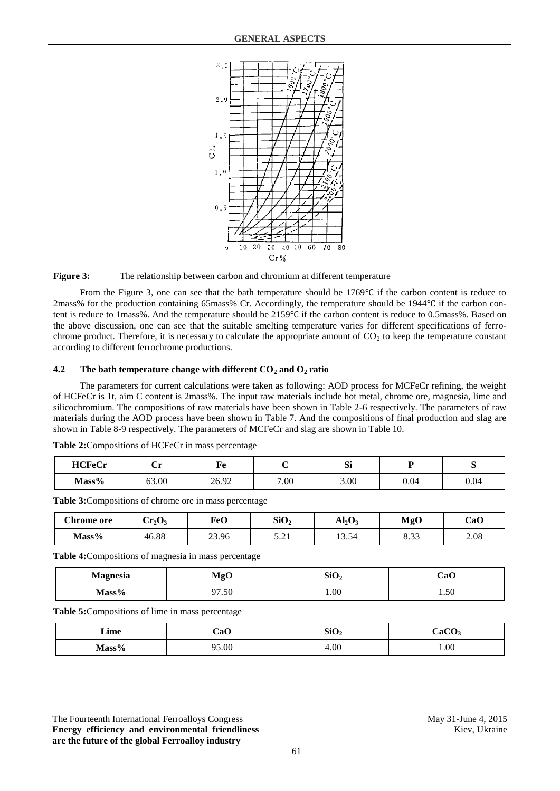

**Figure 3:** The relationship between carbon and chromium at different temperature

From the Figure 3, one can see that the bath temperature should be 1769℃ if the carbon content is reduce to 2mass% for the production containing 65mass% Cr. Accordingly, the temperature should be 1944℃ if the carbon content is reduce to 1mass%. And the temperature should be 2159℃ if the carbon content is reduce to 0.5mass%. Based on the above discussion, one can see that the suitable smelting temperature varies for different specifications of ferrochrome product. Therefore, it is necessary to calculate the appropriate amount of  $CO<sub>2</sub>$  to keep the temperature constant according to different ferrochrome productions.

#### **4.2 The bath temperature change with different CO<sup>2</sup> and O<sup>2</sup> ratio**

The parameters for current calculations were taken as following: AOD process for MCFeCr refining, the weight of HCFeCr is 1t, aim C content is 2mass%. The input raw materials include hot metal, chrome ore, magnesia, lime and silicochromium. The compositions of raw materials have been shown in Table 2-6 respectively. The parameters of raw materials during the AOD process have been shown in Table 7. And the compositions of final production and slag are shown in Table 8-9 respectively. The parameters of MCFeCr and slag are shown in Table 10.

| <b>HCFeCr</b> | ັ     | НΆ<br>r c |      | C.<br>ÞΙ |      | ັ    |
|---------------|-------|-----------|------|----------|------|------|
| Mass%         | 63.00 | 26.92     | 7.00 | 3.00     | 0.04 | 0.04 |

**Table 2:**Compositions of HCFeCr in mass percentage

**Table 3:**Compositions of chrome ore in mass percentage

| <b>Chrome</b> ore | $\rm Cr_2O_3$ | FeO   | SiO <sub>2</sub>    | $Al_2O_7$ | <b>MgO</b>   | CaO  |
|-------------------|---------------|-------|---------------------|-----------|--------------|------|
| $Mass\%$          | 46.88         | 23.96 | $\sim$ 0.1.<br>J.LI | 13.54     | 0.22<br>دد.ه | 2.08 |

**Table 4:**Compositions of magnesia in mass percentage

| <b>Magnesia</b>             | <b>MgO</b> | SiO <sub>2</sub> | CaO  |  |
|-----------------------------|------------|------------------|------|--|
| $M_{\alpha\alpha\alpha}$ 0/ | 7.50<br>∩¬ | 1.00             | 1.50 |  |

**Table 5:**Compositions of lime in mass percentage

| Lime     | CaO   | SiO <sub>2</sub> | CaCO |  |
|----------|-------|------------------|------|--|
| $Mass\%$ | 95.00 | 4.00             | 1.00 |  |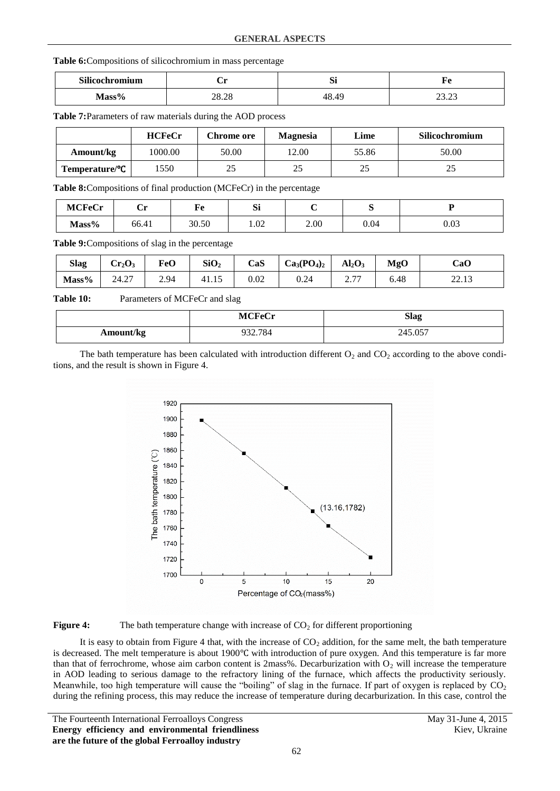#### **Table 6:**Compositions of silicochromium in mass percentage

| Silicochromium | ັ              | n.<br>DI. | $\overline{\phantom{a}}$<br>. . |  |
|----------------|----------------|-----------|---------------------------------|--|
| $Mass\%$       | 20.20<br>20.20 |           | $\sim$<br>$\sim$<br>ر ے . دے    |  |

**Table 7:**Parameters of raw materials during the AOD process

|                              | <b>HCFeCr</b> | Chrome ore | <b>Magnesia</b> | Lime  | Silicochromium |
|------------------------------|---------------|------------|-----------------|-------|----------------|
| Amount/kg                    | 1000.00       | 50.00      | 12.00           | 55.86 | 50.00          |
| $Temperature$ <sup>o</sup> C | 1550          | 25         | 25              | 25    | 25             |

**Table 8:**Compositions of final production (MCFeCr) in the percentage

| <b>MCFeCr</b> | ັ     | kо<br>r c | $\sim$<br>D. |      | ັ    | ∽    |
|---------------|-------|-----------|--------------|------|------|------|
| Mass%         | 66.41 | 30.50     | 1.02         | 2.00 | 0.04 | 0.03 |

**Table 9:**Compositions of slag in the percentage

| <b>Slag</b> | $Cr_2O_3$       | <b>FeO</b> | SiO <sub>2</sub> | CaS  | $Ca3(PO4)2$ | Al <sub>2</sub> O <sub>3</sub>                  | MgO  | CaO                         |
|-------------|-----------------|------------|------------------|------|-------------|-------------------------------------------------|------|-----------------------------|
| Mass%       | $\sim$<br>24.27 | 2.94       | 41.IJ            | 0.02 | 0.24        | $\sim$ $\pi$<br>$\overline{a}$ . $\overline{a}$ | 6.48 | 2212<br><i><u>LL.LJ</u></i> |

Table 10: Parameters of MCFeCr and slag

|           | <b>MCFeCr</b> | <b>Slag</b> |
|-----------|---------------|-------------|
| Amount/kg | 932.784       | 245.057     |

The bath temperature has been calculated with introduction different  $O_2$  and  $CO_2$  according to the above conditions, and the result is shown in Figure 4.





It is easy to obtain from Figure 4 that, with the increase of  $CO<sub>2</sub>$  addition, for the same melt, the bath temperature is decreased. The melt temperature is about 1900℃ with introduction of pure oxygen. And this temperature is far more than that of ferrochrome, whose aim carbon content is 2mass%. Decarburization with  $O<sub>2</sub>$  will increase the temperature in AOD leading to serious damage to the refractory lining of the furnace, which affects the productivity seriously. Meanwhile, too high temperature will cause the "boiling" of slag in the furnace. If part of oxygen is replaced by  $CO<sub>2</sub>$ during the refining process, this may reduce the increase of temperature during decarburization. In this case, control the

The Fourteenth International Ferroalloys Congress May 31-June 4, 2015 **Energy efficiency and environmental friendliness are the future of the global Ferroalloy industry**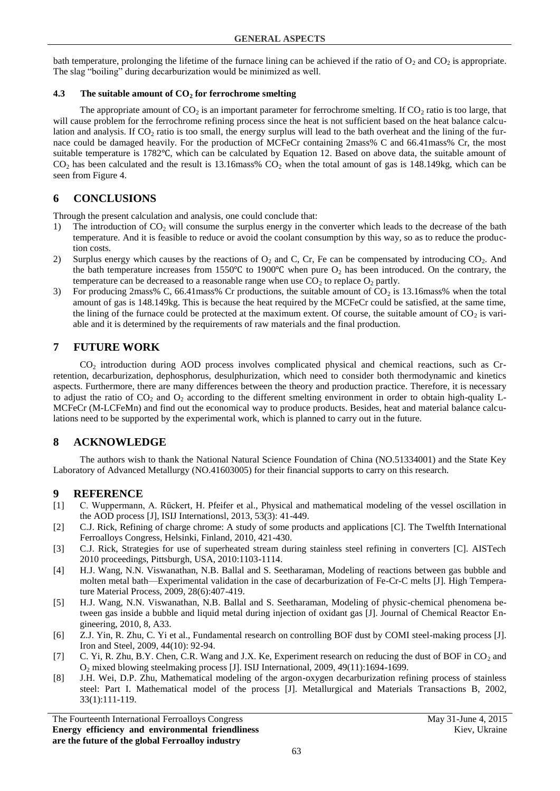bath temperature, prolonging the lifetime of the furnace lining can be achieved if the ratio of  $O_2$  and  $CO_2$  is appropriate. The slag "boiling" during decarburization would be minimized as well.

#### **4.3 The suitable amount of CO<sup>2</sup> for ferrochrome smelting**

The appropriate amount of  $CO<sub>2</sub>$  is an important parameter for ferrochrome smelting. If  $CO<sub>2</sub>$  ratio is too large, that will cause problem for the ferrochrome refining process since the heat is not sufficient based on the heat balance calculation and analysis. If  $CO<sub>2</sub>$  ratio is too small, the energy surplus will lead to the bath overheat and the lining of the furnace could be damaged heavily. For the production of MCFeCr containing 2mass% C and 66.41mass% Cr, the most suitable temperature is 1782℃, which can be calculated by Equation 12. Based on above data, the suitable amount of  $CO<sub>2</sub>$  has been calculated and the result is 13.16mass%  $CO<sub>2</sub>$  when the total amount of gas is 148.149kg, which can be seen from Figure 4.

### **6 CONCLUSIONS**

Through the present calculation and analysis, one could conclude that:

- 1) The introduction of  $CO<sub>2</sub>$  will consume the surplus energy in the converter which leads to the decrease of the bath temperature. And it is feasible to reduce or avoid the coolant consumption by this way, so as to reduce the production costs.
- 2) Surplus energy which causes by the reactions of  $O_2$  and C, Cr, Fe can be compensated by introducing  $CO_2$ . And the bath temperature increases from 1550°C to 1900°C when pure  $O_2$  has been introduced. On the contrary, the temperature can be decreased to a reasonable range when use  $CO<sub>2</sub>$  to replace  $O<sub>2</sub>$  partly.
- 3) For producing 2mass% C, 66.41 mass% Cr productions, the suitable amount of  $CO<sub>2</sub>$  is 13.16 mass% when the total amount of gas is 148.149kg. This is because the heat required by the MCFeCr could be satisfied, at the same time, the lining of the furnace could be protected at the maximum extent. Of course, the suitable amount of  $CO<sub>2</sub>$  is variable and it is determined by the requirements of raw materials and the final production.

### **7 FUTURE WORK**

CO<sup>2</sup> introduction during AOD process involves complicated physical and chemical reactions, such as Crretention, decarburization, dephosphorus, desulphurization, which need to consider both thermodynamic and kinetics aspects. Furthermore, there are many differences between the theory and production practice. Therefore, it is necessary to adjust the ratio of  $CO_2$  and  $O_2$  according to the different smelting environment in order to obtain high-quality L-MCFeCr (M-LCFeMn) and find out the economical way to produce products. Besides, heat and material balance calculations need to be supported by the experimental work, which is planned to carry out in the future.

# **8 ACKNOWLEDGE**

The authors wish to thank the National Natural Science Foundation of China (NO.51334001) and the State Key Laboratory of Advanced Metallurgy (NO.41603005) for their financial supports to carry on this research.

### **9 REFERENCE**

- [1] C. Wuppermann, A. Rückert, H. Pfeifer et al., Physical and mathematical modeling of the vessel oscillation in the AOD process [J], ISIJ Internationsl, 2013, 53(3): 41-449.
- [2] C.J. Rick, Refining of charge chrome: A study of some products and applications [C]. The Twelfth International Ferroalloys Congress, Helsinki, Finland, 2010, 421-430.
- [3] C.J. Rick, Strategies for use of superheated stream during stainless steel refining in converters [C]. AISTech 2010 proceedings, Pittsburgh, USA, 2010:1103-1114.
- [4] H.J. Wang, N.N. Viswanathan, N.B. Ballal and S. Seetharaman, Modeling of reactions between gas bubble and molten metal bath—Experimental validation in the case of decarburization of Fe-Cr-C melts [J]. High Temperature Material Process, 2009, 28(6):407-419.
- [5] H.J. Wang, N.N. Viswanathan, N.B. Ballal and S. Seetharaman, Modeling of physic-chemical phenomena between gas inside a bubble and liquid metal during injection of oxidant gas [J]. Journal of Chemical Reactor Engineering, 2010, 8, A33.
- [6] Z.J. Yin, R. Zhu, C. Yi et al., Fundamental research on controlling BOF dust by COMI steel-making process [J]. Iron and Steel, 2009, 44(10): 92-94.
- [7] C. Yi, R. Zhu, B.Y. Chen, C.R. Wang and J.X. Ke, Experiment research on reducing the dust of BOF in  $CO<sub>2</sub>$  and O<sup>2</sup> mixed blowing steelmaking process [J]. ISIJ International, 2009, 49(11):1694-1699.
- [8] J.H. Wei, D.P. Zhu, Mathematical modeling of the argon-oxygen decarburization refining process of stainless steel: Part Ι. Mathematical model of the process [J]. Metallurgical and Materials Transactions B, 2002, 33(1):111-119.

The Fourteenth International Ferroalloys Congress May 31-June 4, 2015 **Energy efficiency and environmental friendliness are the future of the global Ferroalloy industry**